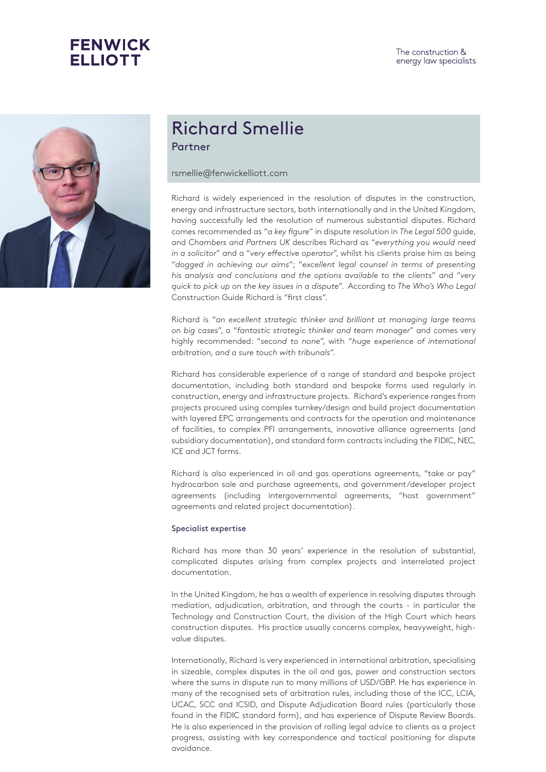



## Richard Smellie Partner

## rsmellie@fenwickelliott.com

Richard is widely experienced in the resolution of disputes in the construction, energy and infrastructure sectors, both internationally and in the United Kingdom, having successfully led the resolution of numerous substantial disputes. Richard comes recommended as "*a key figure*" in dispute resolution in *The Legal 500* guide, and *Chambers and Partners UK* describes Richard as "*everything you would need in a solicitor*" and a "*very effective operator*", whilst his clients praise him as being "*dogged in achieving our aims*"; "*excellent legal counsel in terms of presenting his analysis and conclusions and the options available to the clients*" and "*very quick to pick up on the key issues in a dispute*". According to *The Who's Who Legal* Construction Guide Richard is "first class".

Richard is "*an excellent strategic thinker and brilliant at managing large teams on big cases*", a "*fantastic strategic thinker and team manager*" and comes very highly recommended: "*second to none*", with "*huge experience of international arbitration, and a sure touch with tribunals*".

Richard has considerable experience of a range of standard and bespoke project documentation, including both standard and bespoke forms used regularly in construction, energy and infrastructure projects. Richard's experience ranges from projects procured using complex turnkey/design and build project documentation with layered EPC arrangements and contracts for the operation and maintenance of facilities, to complex PFI arrangements, innovative alliance agreements (and subsidiary documentation), and standard form contracts including the FIDIC, NEC, ICE and JCT forms.

Richard is also experienced in oil and gas operations agreements, "take or pay" hydrocarbon sale and purchase agreements, and government/developer project agreements (including intergovernmental agreements, "host government" agreements and related project documentation).

## Specialist expertise

Richard has more than 30 years' experience in the resolution of substantial, complicated disputes arising from complex projects and interrelated project documentation.

In the United Kingdom, he has a wealth of experience in resolving disputes through mediation, adjudication, arbitration, and through the courts - in particular the Technology and Construction Court, the division of the High Court which hears construction disputes. His practice usually concerns complex, heavyweight, highvalue disputes.

Internationally, Richard is very experienced in international arbitration, specialising in sizeable, complex disputes in the oil and gas, power and construction sectors where the sums in dispute run to many millions of USD/GBP. He has experience in many of the recognised sets of arbitration rules, including those of the ICC, LCIA, UCAC, SCC and ICSID, and Dispute Adjudication Board rules (particularly those found in the FIDIC standard form), and has experience of Dispute Review Boards. He is also experienced in the provision of rolling legal advice to clients as a project progress, assisting with key correspondence and tactical positioning for dispute avoidance.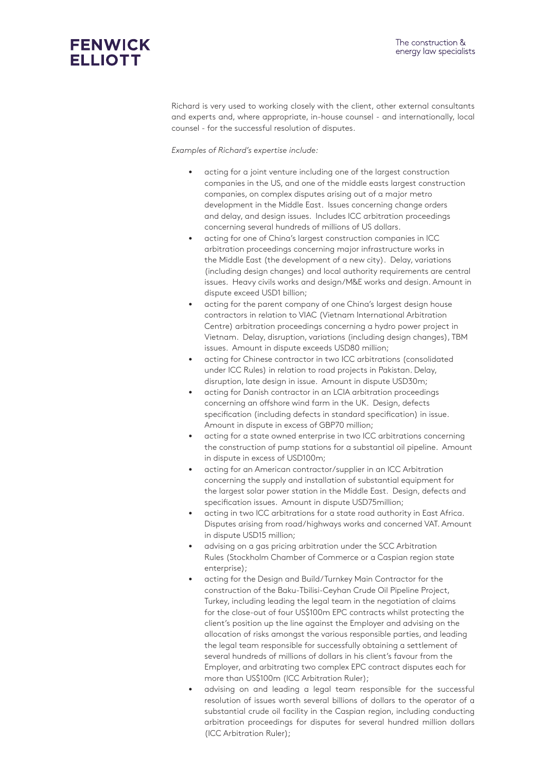

Richard is very used to working closely with the client, other external consultants and experts and, where appropriate, in-house counsel - and internationally, local counsel - for the successful resolution of disputes.

*Examples of Richard's expertise include:*

- acting for a joint venture including one of the largest construction companies in the US, and one of the middle easts largest construction companies, on complex disputes arising out of a major metro development in the Middle East. Issues concerning change orders and delay, and design issues. Includes ICC arbitration proceedings concerning several hundreds of millions of US dollars.
- acting for one of China's largest construction companies in ICC arbitration proceedings concerning major infrastructure works in the Middle East (the development of a new city). Delay, variations (including design changes) and local authority requirements are central issues. Heavy civils works and design/M&E works and design. Amount in dispute exceed USD1 billion;
- acting for the parent company of one China's largest design house contractors in relation to VIAC (Vietnam International Arbitration Centre) arbitration proceedings concerning a hydro power project in Vietnam. Delay, disruption, variations (including design changes), TBM issues. Amount in dispute exceeds USD80 million;
- acting for Chinese contractor in two ICC arbitrations (consolidated under ICC Rules) in relation to road projects in Pakistan. Delay, disruption, late design in issue. Amount in dispute USD30m;
- acting for Danish contractor in an LCIA arbitration proceedings concerning an offshore wind farm in the UK. Design, defects specification (including defects in standard specification) in issue. Amount in dispute in excess of GBP70 million;
- acting for a state owned enterprise in two ICC arbitrations concerning the construction of pump stations for a substantial oil pipeline. Amount in dispute in excess of USD100m;
- acting for an American contractor/supplier in an ICC Arbitration concerning the supply and installation of substantial equipment for the largest solar power station in the Middle East. Design, defects and specification issues. Amount in dispute USD75million;
- acting in two ICC arbitrations for a state road authority in East Africa. Disputes arising from road/highways works and concerned VAT. Amount in dispute USD15 million;
- advising on a gas pricing arbitration under the SCC Arbitration Rules (Stockholm Chamber of Commerce or a Caspian region state enterprise);
- acting for the Design and Build/Turnkey Main Contractor for the construction of the Baku-Tbilisi-Ceyhan Crude Oil Pipeline Project, Turkey, including leading the legal team in the negotiation of claims for the close-out of four US\$100m EPC contracts whilst protecting the client's position up the line against the Employer and advising on the allocation of risks amongst the various responsible parties, and leading the legal team responsible for successfully obtaining a settlement of several hundreds of millions of dollars in his client's favour from the Employer, and arbitrating two complex EPC contract disputes each for more than US\$100m (ICC Arbitration Ruler);
- advising on and leading a legal team responsible for the successful resolution of issues worth several billions of dollars to the operator of a substantial crude oil facility in the Caspian region, including conducting arbitration proceedings for disputes for several hundred million dollars (ICC Arbitration Ruler);